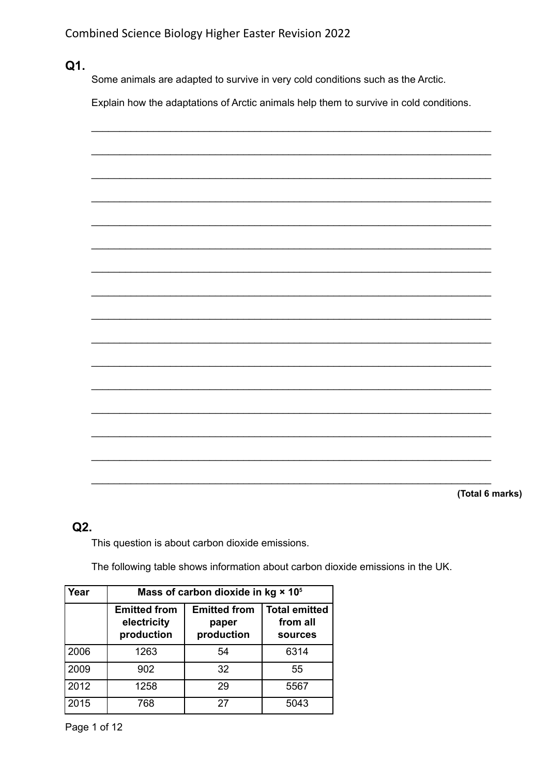Q1.

Some animals are adapted to survive in very cold conditions such as the Arctic.

Explain how the adaptations of Arctic animals help them to survive in cold conditions.



## $Q2.$

This question is about carbon dioxide emissions.

The following table shows information about carbon dioxide emissions in the UK.

| Year | Mass of carbon dioxide in kg × 10 <sup>5</sup>   |                                            |                                                    |
|------|--------------------------------------------------|--------------------------------------------|----------------------------------------------------|
|      | <b>Emitted from</b><br>electricity<br>production | <b>Emitted from</b><br>paper<br>production | <b>Total emitted</b><br>from all<br><b>sources</b> |
| 2006 | 1263                                             | 54                                         | 6314                                               |
| 2009 | 902                                              | 32                                         | 55                                                 |
| 2012 | 1258                                             | 29                                         | 5567                                               |
| 2015 | 768                                              | 27                                         | 5043                                               |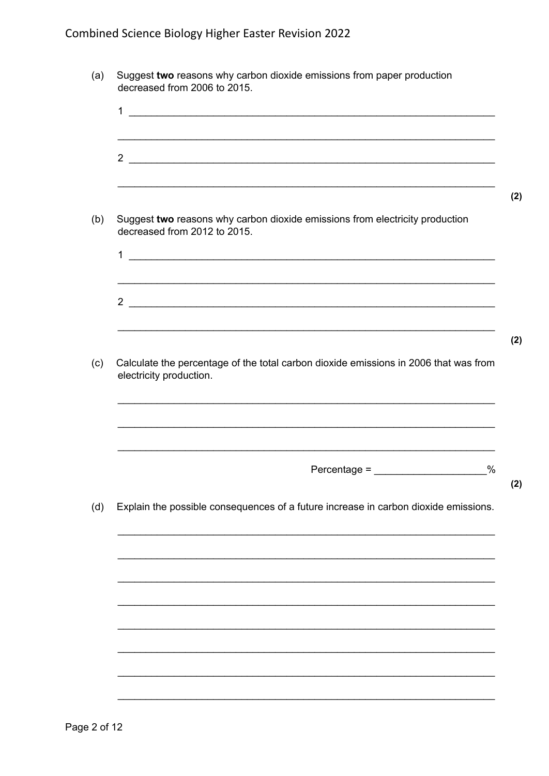|                              | $\frac{1}{2}$                                                                        |      |
|------------------------------|--------------------------------------------------------------------------------------|------|
|                              |                                                                                      |      |
|                              |                                                                                      |      |
|                              | $\overline{\phantom{a}2\phantom{a}}$                                                 |      |
|                              |                                                                                      |      |
|                              |                                                                                      |      |
| decreased from 2012 to 2015. | Suggest two reasons why carbon dioxide emissions from electricity production         |      |
|                              |                                                                                      |      |
|                              | $1$ $\overline{\phantom{a}}$                                                         |      |
|                              |                                                                                      |      |
|                              |                                                                                      |      |
|                              | $\frac{2}{\sqrt{2}}$                                                                 |      |
|                              |                                                                                      |      |
|                              |                                                                                      |      |
|                              |                                                                                      |      |
|                              | Calculate the percentage of the total carbon dioxide emissions in 2006 that was from |      |
|                              |                                                                                      |      |
|                              |                                                                                      |      |
|                              |                                                                                      |      |
|                              |                                                                                      |      |
|                              |                                                                                      |      |
|                              | $Percentage =$                                                                       | $\%$ |
|                              |                                                                                      |      |
| electricity production.      | Explain the possible consequences of a future increase in carbon dioxide emissions.  |      |
|                              |                                                                                      |      |
|                              |                                                                                      |      |
|                              |                                                                                      |      |
|                              |                                                                                      |      |
|                              |                                                                                      |      |
|                              |                                                                                      |      |
|                              |                                                                                      |      |
|                              |                                                                                      |      |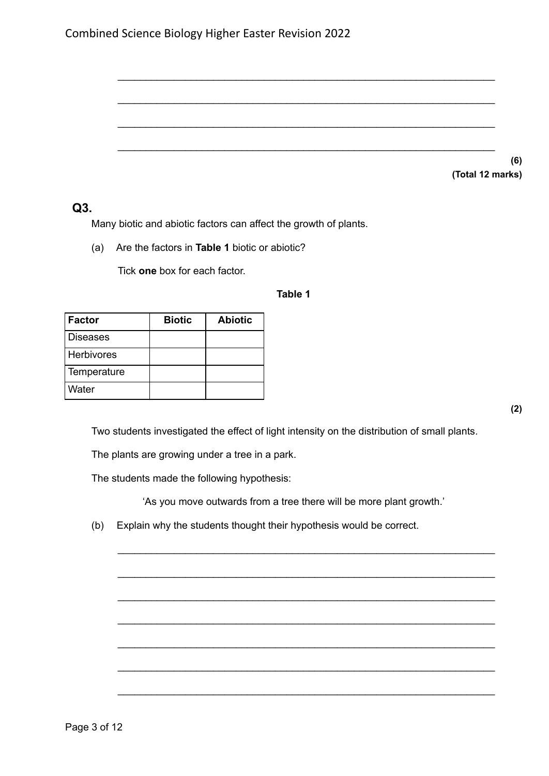| Combined Science Biology Higher Easter Revision 2022 |  |  |
|------------------------------------------------------|--|--|
|------------------------------------------------------|--|--|

|  | (6)              |
|--|------------------|
|  | (Total 12 marks) |

#### **Q3.**

Many biotic and abiotic factors can affect the growth of plants.

(a) Are the factors in **Table 1** biotic or abiotic?

Tick **one** box for each factor.

#### **Table 1**

\_\_\_\_\_\_\_\_\_\_\_\_\_\_\_\_\_\_\_\_\_\_\_\_\_\_\_\_\_\_\_\_\_\_\_\_\_\_\_\_\_\_\_\_\_\_\_\_\_\_\_\_\_\_\_\_\_\_\_\_\_\_\_\_\_\_\_

\_\_\_\_\_\_\_\_\_\_\_\_\_\_\_\_\_\_\_\_\_\_\_\_\_\_\_\_\_\_\_\_\_\_\_\_\_\_\_\_\_\_\_\_\_\_\_\_\_\_\_\_\_\_\_\_\_\_\_\_\_\_\_\_\_\_\_

\_\_\_\_\_\_\_\_\_\_\_\_\_\_\_\_\_\_\_\_\_\_\_\_\_\_\_\_\_\_\_\_\_\_\_\_\_\_\_\_\_\_\_\_\_\_\_\_\_\_\_\_\_\_\_\_\_\_\_\_\_\_\_\_\_\_\_

\_\_\_\_\_\_\_\_\_\_\_\_\_\_\_\_\_\_\_\_\_\_\_\_\_\_\_\_\_\_\_\_\_\_\_\_\_\_\_\_\_\_\_\_\_\_\_\_\_\_\_\_\_\_\_\_\_\_\_\_\_\_\_\_\_\_\_

| Factor          | <b>Biotic</b> | <b>Abiotic</b> |
|-----------------|---------------|----------------|
| <b>Diseases</b> |               |                |
| Herbivores      |               |                |
| Temperature     |               |                |
| Water           |               |                |

**(2)**

Two students investigated the effect of light intensity on the distribution of small plants.

The plants are growing under a tree in a park.

The students made the following hypothesis:

'As you move outwards from a tree there will be more plant growth.'

\_\_\_\_\_\_\_\_\_\_\_\_\_\_\_\_\_\_\_\_\_\_\_\_\_\_\_\_\_\_\_\_\_\_\_\_\_\_\_\_\_\_\_\_\_\_\_\_\_\_\_\_\_\_\_\_\_\_\_\_\_\_\_\_\_\_\_

\_\_\_\_\_\_\_\_\_\_\_\_\_\_\_\_\_\_\_\_\_\_\_\_\_\_\_\_\_\_\_\_\_\_\_\_\_\_\_\_\_\_\_\_\_\_\_\_\_\_\_\_\_\_\_\_\_\_\_\_\_\_\_\_\_\_\_

\_\_\_\_\_\_\_\_\_\_\_\_\_\_\_\_\_\_\_\_\_\_\_\_\_\_\_\_\_\_\_\_\_\_\_\_\_\_\_\_\_\_\_\_\_\_\_\_\_\_\_\_\_\_\_\_\_\_\_\_\_\_\_\_\_\_\_

\_\_\_\_\_\_\_\_\_\_\_\_\_\_\_\_\_\_\_\_\_\_\_\_\_\_\_\_\_\_\_\_\_\_\_\_\_\_\_\_\_\_\_\_\_\_\_\_\_\_\_\_\_\_\_\_\_\_\_\_\_\_\_\_\_\_\_

\_\_\_\_\_\_\_\_\_\_\_\_\_\_\_\_\_\_\_\_\_\_\_\_\_\_\_\_\_\_\_\_\_\_\_\_\_\_\_\_\_\_\_\_\_\_\_\_\_\_\_\_\_\_\_\_\_\_\_\_\_\_\_\_\_\_\_

\_\_\_\_\_\_\_\_\_\_\_\_\_\_\_\_\_\_\_\_\_\_\_\_\_\_\_\_\_\_\_\_\_\_\_\_\_\_\_\_\_\_\_\_\_\_\_\_\_\_\_\_\_\_\_\_\_\_\_\_\_\_\_\_\_\_\_

\_\_\_\_\_\_\_\_\_\_\_\_\_\_\_\_\_\_\_\_\_\_\_\_\_\_\_\_\_\_\_\_\_\_\_\_\_\_\_\_\_\_\_\_\_\_\_\_\_\_\_\_\_\_\_\_\_\_\_\_\_\_\_\_\_\_\_

(b) Explain why the students thought their hypothesis would be correct.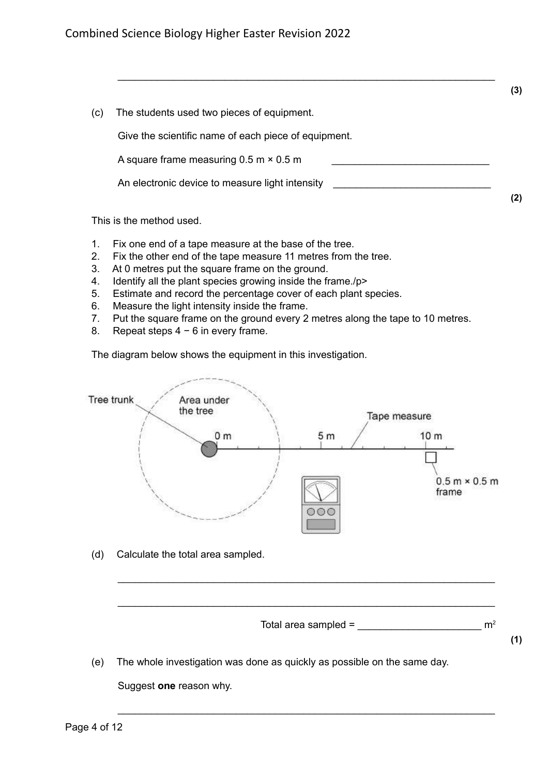

(e) The whole investigation was done as quickly as possible on the same day. Suggest **one** reason why.

\_\_\_\_\_\_\_\_\_\_\_\_\_\_\_\_\_\_\_\_\_\_\_\_\_\_\_\_\_\_\_\_\_\_\_\_\_\_\_\_\_\_\_\_\_\_\_\_\_\_\_\_\_\_\_\_\_\_\_\_\_\_\_\_\_\_\_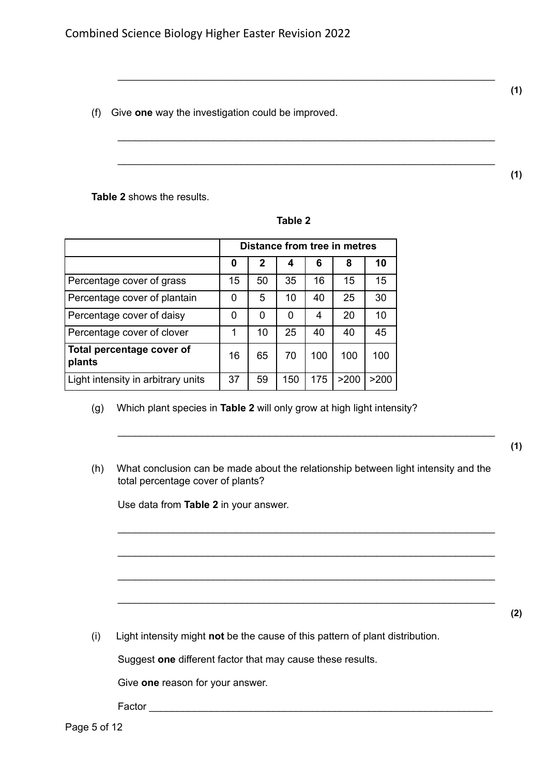**(1)**

**(1)**

(f) Give **one** way the investigation could be improved.

**Table 2** shows the results.

| Л<br>ш<br>- 1 |  |
|---------------|--|
|---------------|--|

\_\_\_\_\_\_\_\_\_\_\_\_\_\_\_\_\_\_\_\_\_\_\_\_\_\_\_\_\_\_\_\_\_\_\_\_\_\_\_\_\_\_\_\_\_\_\_\_\_\_\_\_\_\_\_\_\_\_\_\_\_\_\_\_\_\_\_

\_\_\_\_\_\_\_\_\_\_\_\_\_\_\_\_\_\_\_\_\_\_\_\_\_\_\_\_\_\_\_\_\_\_\_\_\_\_\_\_\_\_\_\_\_\_\_\_\_\_\_\_\_\_\_\_\_\_\_\_\_\_\_\_\_\_\_

\_\_\_\_\_\_\_\_\_\_\_\_\_\_\_\_\_\_\_\_\_\_\_\_\_\_\_\_\_\_\_\_\_\_\_\_\_\_\_\_\_\_\_\_\_\_\_\_\_\_\_\_\_\_\_\_\_\_\_\_\_\_\_\_\_\_\_

|                                     |    |    |     |     | Distance from tree in metres |      |
|-------------------------------------|----|----|-----|-----|------------------------------|------|
|                                     | 0  | 2  | 4   | 6   | 8                            | 10   |
| Percentage cover of grass           | 15 | 50 | 35  | 16  | 15                           | 15   |
| Percentage cover of plantain        | 0  | 5  | 10  | 40  | 25                           | 30   |
| Percentage cover of daisy           | 0  | 0  | O   | 4   | 20                           | 10   |
| Percentage cover of clover          | 1  | 10 | 25  | 40  | 40                           | 45   |
| Total percentage cover of<br>plants | 16 | 65 | 70  | 100 | 100                          | 100  |
| Light intensity in arbitrary units  | 37 | 59 | 150 | 175 | >200                         | >200 |

#### (g) Which plant species in **Table 2** will only grow at high light intensity?

(h) What conclusion can be made about the relationship between light intensity and the total percentage cover of plants?

\_\_\_\_\_\_\_\_\_\_\_\_\_\_\_\_\_\_\_\_\_\_\_\_\_\_\_\_\_\_\_\_\_\_\_\_\_\_\_\_\_\_\_\_\_\_\_\_\_\_\_\_\_\_\_\_\_\_\_\_\_\_\_\_\_\_\_

\_\_\_\_\_\_\_\_\_\_\_\_\_\_\_\_\_\_\_\_\_\_\_\_\_\_\_\_\_\_\_\_\_\_\_\_\_\_\_\_\_\_\_\_\_\_\_\_\_\_\_\_\_\_\_\_\_\_\_\_\_\_\_\_\_\_\_

\_\_\_\_\_\_\_\_\_\_\_\_\_\_\_\_\_\_\_\_\_\_\_\_\_\_\_\_\_\_\_\_\_\_\_\_\_\_\_\_\_\_\_\_\_\_\_\_\_\_\_\_\_\_\_\_\_\_\_\_\_\_\_\_\_\_\_

\_\_\_\_\_\_\_\_\_\_\_\_\_\_\_\_\_\_\_\_\_\_\_\_\_\_\_\_\_\_\_\_\_\_\_\_\_\_\_\_\_\_\_\_\_\_\_\_\_\_\_\_\_\_\_\_\_\_\_\_\_\_\_\_\_\_\_

\_\_\_\_\_\_\_\_\_\_\_\_\_\_\_\_\_\_\_\_\_\_\_\_\_\_\_\_\_\_\_\_\_\_\_\_\_\_\_\_\_\_\_\_\_\_\_\_\_\_\_\_\_\_\_\_\_\_\_\_\_\_\_\_\_\_\_

Use data from **Table 2** in your answer.

(i) Light intensity might **not** be the cause of this pattern of plant distribution.

Suggest **one** different factor that may cause these results.

Give **one** reason for your answer.

Factor \_\_\_\_\_\_\_\_\_\_\_\_\_\_\_\_\_\_\_\_\_\_\_\_\_\_\_\_\_\_\_\_\_\_\_\_\_\_\_\_\_\_\_\_\_\_\_\_\_\_\_\_\_\_\_\_\_\_\_\_\_

**(2)**

**(1)**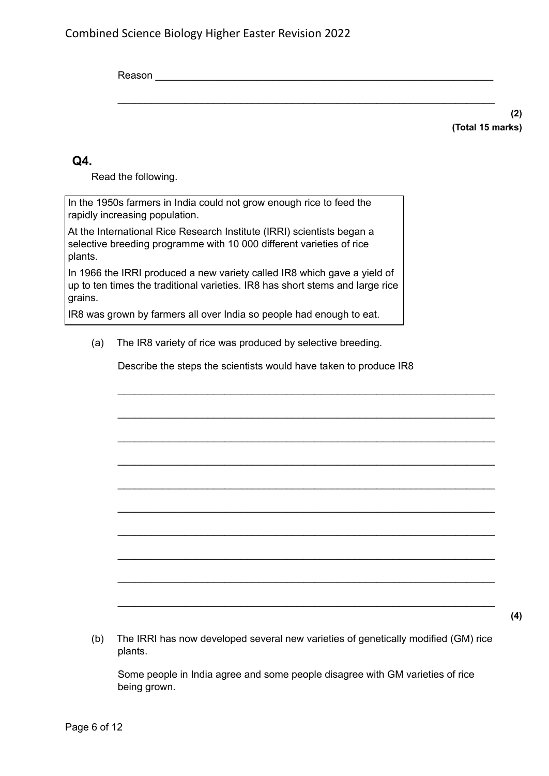Reason \_\_\_\_\_\_\_\_\_\_\_\_\_\_\_\_\_\_\_\_\_\_\_\_\_\_\_\_\_\_\_\_\_\_\_\_\_\_\_\_\_\_\_\_\_\_\_\_\_\_\_\_\_\_\_\_\_\_\_\_

\_\_\_\_\_\_\_\_\_\_\_\_\_\_\_\_\_\_\_\_\_\_\_\_\_\_\_\_\_\_\_\_\_\_\_\_\_\_\_\_\_\_\_\_\_\_\_\_\_\_\_\_\_\_\_\_\_\_\_\_\_\_\_\_\_\_\_

**(2) (Total 15 marks)**

**(4)**

### **Q4.**

Read the following.

In the 1950s farmers in India could not grow enough rice to feed the rapidly increasing population.

At the International Rice Research Institute (IRRI) scientists began a selective breeding programme with 10 000 different varieties of rice plants.

In 1966 the IRRI produced a new variety called IR8 which gave a yield of up to ten times the traditional varieties. IR8 has short stems and large rice grains.

IR8 was grown by farmers all over India so people had enough to eat.

(a) The IR8 variety of rice was produced by selective breeding.

Describe the steps the scientists would have taken to produce IR8

\_\_\_\_\_\_\_\_\_\_\_\_\_\_\_\_\_\_\_\_\_\_\_\_\_\_\_\_\_\_\_\_\_\_\_\_\_\_\_\_\_\_\_\_\_\_\_\_\_\_\_\_\_\_\_\_\_\_\_\_\_\_\_\_\_\_\_

\_\_\_\_\_\_\_\_\_\_\_\_\_\_\_\_\_\_\_\_\_\_\_\_\_\_\_\_\_\_\_\_\_\_\_\_\_\_\_\_\_\_\_\_\_\_\_\_\_\_\_\_\_\_\_\_\_\_\_\_\_\_\_\_\_\_\_

\_\_\_\_\_\_\_\_\_\_\_\_\_\_\_\_\_\_\_\_\_\_\_\_\_\_\_\_\_\_\_\_\_\_\_\_\_\_\_\_\_\_\_\_\_\_\_\_\_\_\_\_\_\_\_\_\_\_\_\_\_\_\_\_\_\_\_

\_\_\_\_\_\_\_\_\_\_\_\_\_\_\_\_\_\_\_\_\_\_\_\_\_\_\_\_\_\_\_\_\_\_\_\_\_\_\_\_\_\_\_\_\_\_\_\_\_\_\_\_\_\_\_\_\_\_\_\_\_\_\_\_\_\_\_

\_\_\_\_\_\_\_\_\_\_\_\_\_\_\_\_\_\_\_\_\_\_\_\_\_\_\_\_\_\_\_\_\_\_\_\_\_\_\_\_\_\_\_\_\_\_\_\_\_\_\_\_\_\_\_\_\_\_\_\_\_\_\_\_\_\_\_

\_\_\_\_\_\_\_\_\_\_\_\_\_\_\_\_\_\_\_\_\_\_\_\_\_\_\_\_\_\_\_\_\_\_\_\_\_\_\_\_\_\_\_\_\_\_\_\_\_\_\_\_\_\_\_\_\_\_\_\_\_\_\_\_\_\_\_

\_\_\_\_\_\_\_\_\_\_\_\_\_\_\_\_\_\_\_\_\_\_\_\_\_\_\_\_\_\_\_\_\_\_\_\_\_\_\_\_\_\_\_\_\_\_\_\_\_\_\_\_\_\_\_\_\_\_\_\_\_\_\_\_\_\_\_

\_\_\_\_\_\_\_\_\_\_\_\_\_\_\_\_\_\_\_\_\_\_\_\_\_\_\_\_\_\_\_\_\_\_\_\_\_\_\_\_\_\_\_\_\_\_\_\_\_\_\_\_\_\_\_\_\_\_\_\_\_\_\_\_\_\_\_

\_\_\_\_\_\_\_\_\_\_\_\_\_\_\_\_\_\_\_\_\_\_\_\_\_\_\_\_\_\_\_\_\_\_\_\_\_\_\_\_\_\_\_\_\_\_\_\_\_\_\_\_\_\_\_\_\_\_\_\_\_\_\_\_\_\_\_

\_\_\_\_\_\_\_\_\_\_\_\_\_\_\_\_\_\_\_\_\_\_\_\_\_\_\_\_\_\_\_\_\_\_\_\_\_\_\_\_\_\_\_\_\_\_\_\_\_\_\_\_\_\_\_\_\_\_\_\_\_\_\_\_\_\_\_

(b) The IRRI has now developed several new varieties of genetically modified (GM) rice plants.

Some people in India agree and some people disagree with GM varieties of rice being grown.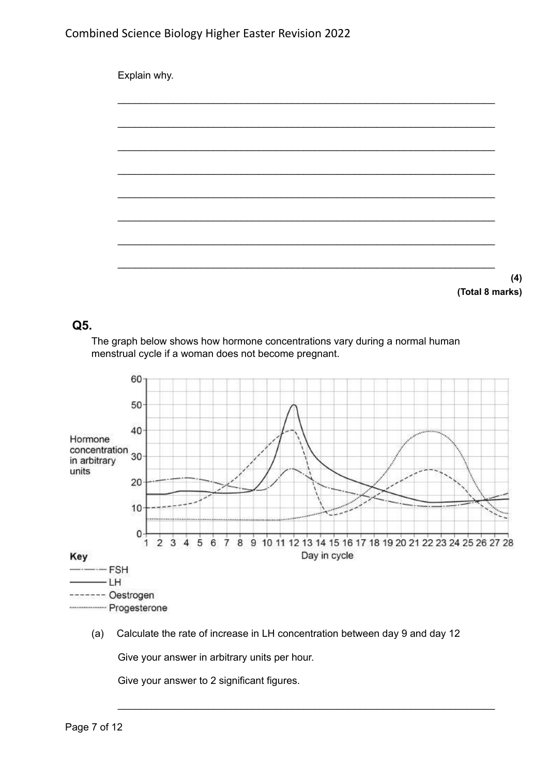

**(Total 8 marks)**

#### **Q5.**

The graph below shows how hormone concentrations vary during a normal human menstrual cycle if a woman does not become pregnant.



(a) Calculate the rate of increase in LH concentration between day 9 and day 12

\_\_\_\_\_\_\_\_\_\_\_\_\_\_\_\_\_\_\_\_\_\_\_\_\_\_\_\_\_\_\_\_\_\_\_\_\_\_\_\_\_\_\_\_\_\_\_\_\_\_\_\_\_\_\_\_\_\_\_\_\_\_\_\_\_\_\_

Give your answer in arbitrary units per hour.

Give your answer to 2 significant figures.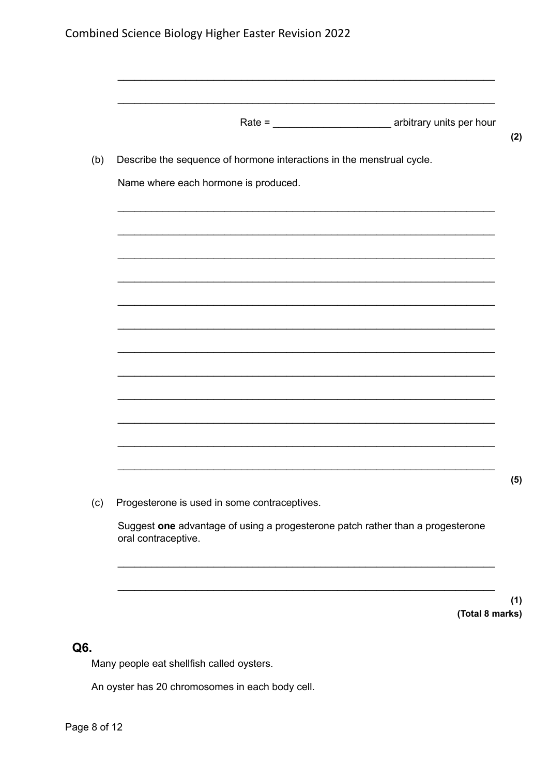| Describe the sequence of hormone interactions in the menstrual cycle.                                 |  |
|-------------------------------------------------------------------------------------------------------|--|
| Name where each hormone is produced.                                                                  |  |
|                                                                                                       |  |
|                                                                                                       |  |
|                                                                                                       |  |
|                                                                                                       |  |
|                                                                                                       |  |
|                                                                                                       |  |
|                                                                                                       |  |
|                                                                                                       |  |
|                                                                                                       |  |
|                                                                                                       |  |
| Progesterone is used in some contraceptives.                                                          |  |
| Suggest one advantage of using a progesterone patch rather than a progesterone<br>oral contraceptive. |  |

 $(1)$ (Total 8 marks)

## Q6.

Many people eat shellfish called oysters.

An oyster has 20 chromosomes in each body cell.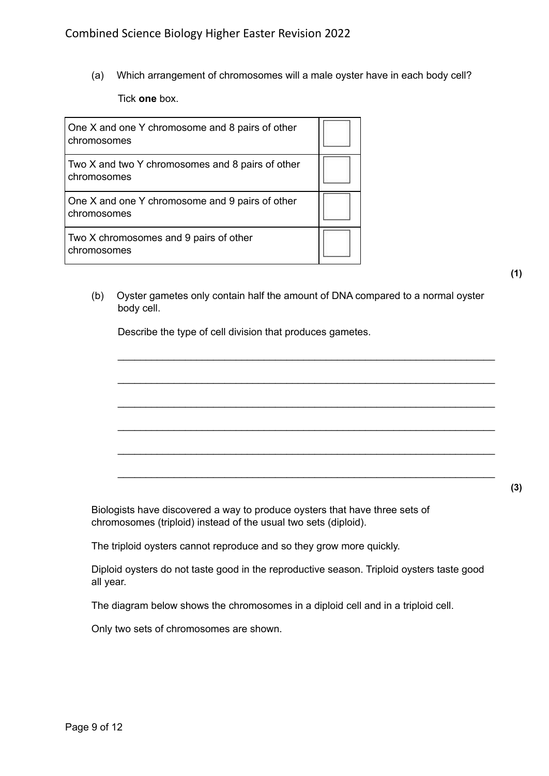(a) Which arrangement of chromosomes will a male oyster have in each body cell?

Tick **one** box.

| One X and one Y chromosome and 8 pairs of other<br>chromosomes  |  |
|-----------------------------------------------------------------|--|
| Two X and two Y chromosomes and 8 pairs of other<br>chromosomes |  |
| One X and one Y chromosome and 9 pairs of other<br>chromosomes  |  |
| Two X chromosomes and 9 pairs of other<br>chromosomes           |  |

**(1)**

**(3)**

(b) Oyster gametes only contain half the amount of DNA compared to a normal oyster body cell.

\_\_\_\_\_\_\_\_\_\_\_\_\_\_\_\_\_\_\_\_\_\_\_\_\_\_\_\_\_\_\_\_\_\_\_\_\_\_\_\_\_\_\_\_\_\_\_\_\_\_\_\_\_\_\_\_\_\_\_\_\_\_\_\_\_\_\_

\_\_\_\_\_\_\_\_\_\_\_\_\_\_\_\_\_\_\_\_\_\_\_\_\_\_\_\_\_\_\_\_\_\_\_\_\_\_\_\_\_\_\_\_\_\_\_\_\_\_\_\_\_\_\_\_\_\_\_\_\_\_\_\_\_\_\_

\_\_\_\_\_\_\_\_\_\_\_\_\_\_\_\_\_\_\_\_\_\_\_\_\_\_\_\_\_\_\_\_\_\_\_\_\_\_\_\_\_\_\_\_\_\_\_\_\_\_\_\_\_\_\_\_\_\_\_\_\_\_\_\_\_\_\_

\_\_\_\_\_\_\_\_\_\_\_\_\_\_\_\_\_\_\_\_\_\_\_\_\_\_\_\_\_\_\_\_\_\_\_\_\_\_\_\_\_\_\_\_\_\_\_\_\_\_\_\_\_\_\_\_\_\_\_\_\_\_\_\_\_\_\_

\_\_\_\_\_\_\_\_\_\_\_\_\_\_\_\_\_\_\_\_\_\_\_\_\_\_\_\_\_\_\_\_\_\_\_\_\_\_\_\_\_\_\_\_\_\_\_\_\_\_\_\_\_\_\_\_\_\_\_\_\_\_\_\_\_\_\_

\_\_\_\_\_\_\_\_\_\_\_\_\_\_\_\_\_\_\_\_\_\_\_\_\_\_\_\_\_\_\_\_\_\_\_\_\_\_\_\_\_\_\_\_\_\_\_\_\_\_\_\_\_\_\_\_\_\_\_\_\_\_\_\_\_\_\_

Describe the type of cell division that produces gametes.

Biologists have discovered a way to produce oysters that have three sets of chromosomes (triploid) instead of the usual two sets (diploid).

The triploid oysters cannot reproduce and so they grow more quickly.

Diploid oysters do not taste good in the reproductive season. Triploid oysters taste good all year.

The diagram below shows the chromosomes in a diploid cell and in a triploid cell.

Only two sets of chromosomes are shown.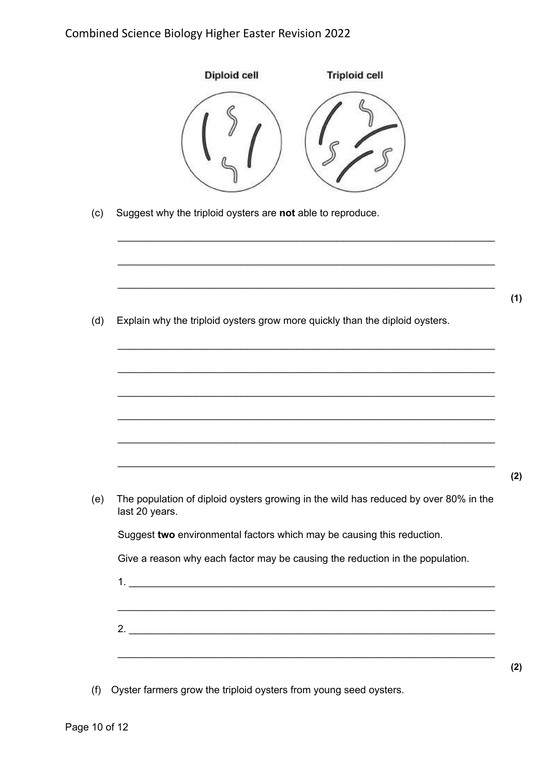| Suggest why the triploid oysters are not able to reproduce.<br>Explain why the triploid oysters grow more quickly than the diploid oysters.<br>The population of diploid oysters growing in the wild has reduced by over 80% in the<br>last 20 years.<br>Suggest two environmental factors which may be causing this reduction.<br>Give a reason why each factor may be causing the reduction in the population.<br>,我们也不能在这里的时候,我们也不能在这里的时候,我们也不能会在这里的时候,我们也不能会在这里的时候,我们也不能会在这里的时候,我们也不能会在这里的时候,我们也不 |     | Diploid cell<br><b>Triploid cell</b> |
|-------------------------------------------------------------------------------------------------------------------------------------------------------------------------------------------------------------------------------------------------------------------------------------------------------------------------------------------------------------------------------------------------------------------------------------------------------------------------------------------------------|-----|--------------------------------------|
|                                                                                                                                                                                                                                                                                                                                                                                                                                                                                                       | (c) |                                      |
|                                                                                                                                                                                                                                                                                                                                                                                                                                                                                                       |     |                                      |
|                                                                                                                                                                                                                                                                                                                                                                                                                                                                                                       | (d) |                                      |
|                                                                                                                                                                                                                                                                                                                                                                                                                                                                                                       |     |                                      |
|                                                                                                                                                                                                                                                                                                                                                                                                                                                                                                       |     |                                      |
|                                                                                                                                                                                                                                                                                                                                                                                                                                                                                                       | (e) |                                      |
|                                                                                                                                                                                                                                                                                                                                                                                                                                                                                                       |     |                                      |
|                                                                                                                                                                                                                                                                                                                                                                                                                                                                                                       |     |                                      |
|                                                                                                                                                                                                                                                                                                                                                                                                                                                                                                       |     |                                      |
|                                                                                                                                                                                                                                                                                                                                                                                                                                                                                                       |     |                                      |
|                                                                                                                                                                                                                                                                                                                                                                                                                                                                                                       |     |                                      |

(f) Oyster farmers grow the triploid oysters from young seed oysters.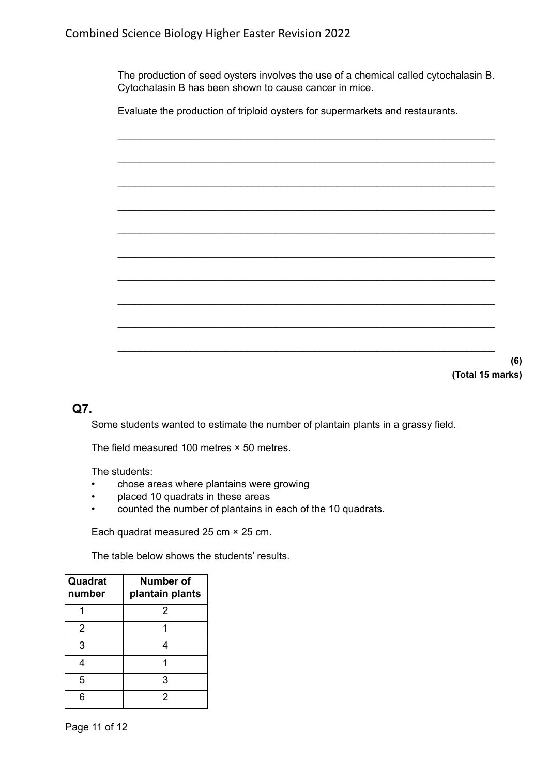The production of seed oysters involves the use of a chemical called cytochalasin B. Cytochalasin B has been shown to cause cancer in mice.

Evaluate the production of triploid oysters for supermarkets and restaurants.



#### **(Total 15 marks)**

**(6)**

#### **Q7.**

Some students wanted to estimate the number of plantain plants in a grassy field.

The field measured 100 metres × 50 metres.

The students:

- chose areas where plantains were growing
- placed 10 quadrats in these areas
- counted the number of plantains in each of the 10 quadrats.

Each quadrat measured 25 cm × 25 cm.

The table below shows the students' results.

| Quadrat<br>number | <b>Number of</b><br>plantain plants |
|-------------------|-------------------------------------|
|                   | 2                                   |
| $\overline{2}$    |                                     |
| 3                 |                                     |
|                   |                                     |
| 5                 | 3                                   |
|                   | 2                                   |